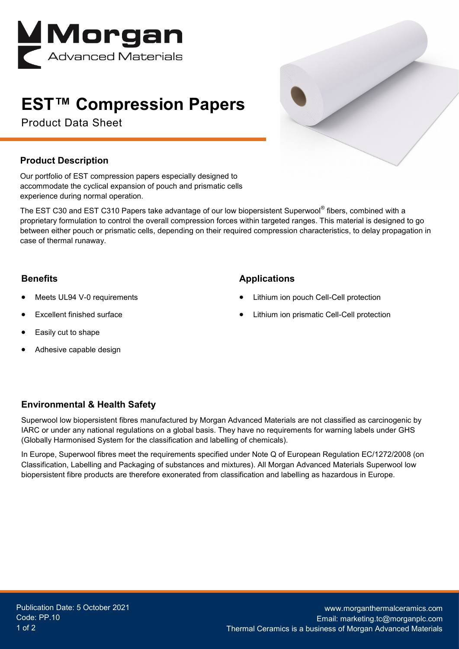

# **EST™ Compression Papers**

Product Data Sheet



### **Product Description**

Our portfolio of EST compression papers especially designed to accommodate the cyclical expansion of pouch and prismatic cells experience during normal operation.

The EST C30 and EST C310 Papers take advantage of our low biopersistent Superwool® fibers, combined with a proprietary formulation to control the overall compression forces within targeted ranges. This material is designed to go between either pouch or prismatic cells, depending on their required compression characteristics, to delay propagation in case of thermal runaway.

#### **Benefits**

- Meets UL94 V-0 requirements
- Excellent finished surface
- Easily cut to shape
- Adhesive capable design

#### **Applications**

- Lithium ion pouch Cell-Cell protection
- Lithium ion prismatic Cell-Cell protection

### **Environmental & Health Safety**

Superwool low biopersistent fibres manufactured by Morgan Advanced Materials are not classified as carcinogenic by IARC or under any national regulations on a global basis. They have no requirements for warning labels under GHS (Globally Harmonised System for the classification and labelling of chemicals).

In Europe, Superwool fibres meet the requirements specified under Note Q of European Regulation EC/1272/2008 (on Classification, Labelling and Packaging of substances and mixtures). All Morgan Advanced Materials Superwool low biopersistent fibre products are therefore exonerated from classification and labelling as hazardous in Europe.